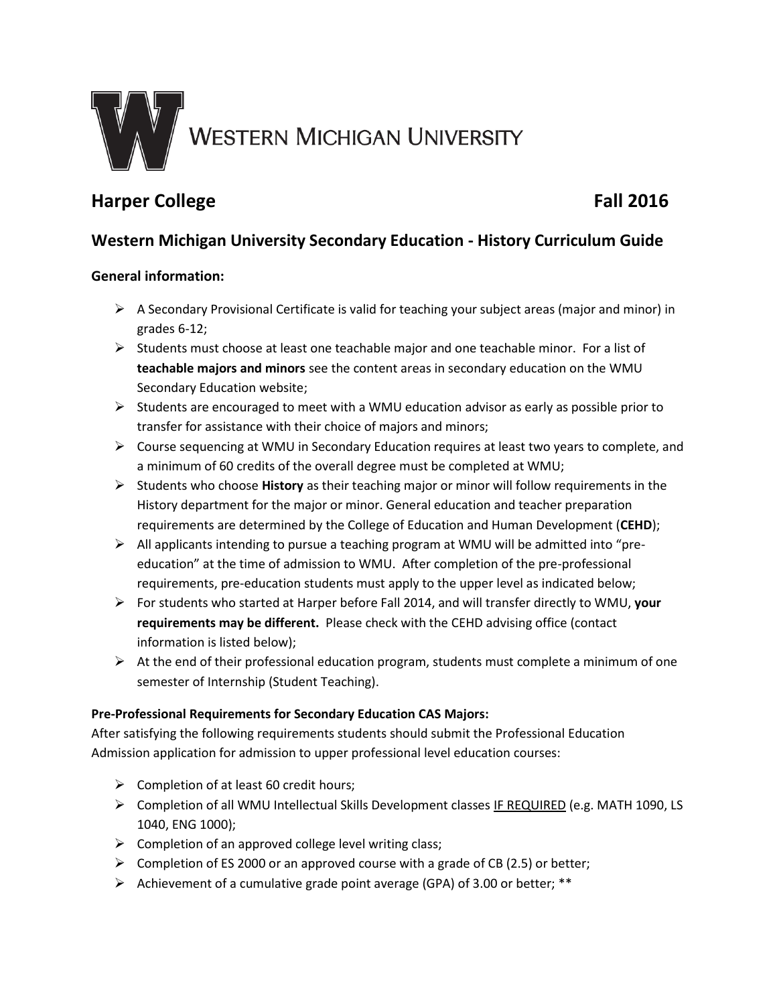

# **Harper College Fall 2016**

## **Western Michigan University Secondary Education - History Curriculum Guide**

### **General information:**

- $\triangleright$  A Secondary Provisional Certificate is valid for teaching your subject areas (major and minor) in grades 6-12;
- $\triangleright$  Students must choose at least one teachable major and one teachable minor. For a list of **teachable majors and minors** see the content areas in secondary education on the WMU Secondary Education website;
- $\triangleright$  Students are encouraged to meet with a WMU education advisor as early as possible prior to transfer for assistance with their choice of majors and minors;
- Course sequencing at WMU in Secondary Education requires at least two years to complete, and a minimum of 60 credits of the overall degree must be completed at WMU;
- Students who choose **History** as their teaching major or minor will follow requirements in the History department for the major or minor. General education and teacher preparation requirements are determined by the College of Education and Human Development (**CEHD**);
- All applicants intending to pursue a teaching program at WMU will be admitted into "preeducation" at the time of admission to WMU. After completion of the pre-professional requirements, pre-education students must apply to the upper level as indicated below;
- For students who started at Harper before Fall 2014, and will transfer directly to WMU, **your requirements may be different.** Please check with the CEHD advising office (contact information is listed below);
- $\triangleright$  At the end of their professional education program, students must complete a minimum of one semester of Internship (Student Teaching).

#### **Pre-Professional Requirements for Secondary Education CAS Majors:**

After satisfying the following requirements students should submit the Professional Education Admission application for admission to upper professional level education courses:

- $\triangleright$  Completion of at least 60 credit hours;
- Completion of all WMU Intellectual Skills Development classes IF REQUIRED (e.g. MATH 1090, LS 1040, ENG 1000);
- $\triangleright$  Completion of an approved college level writing class;
- $\triangleright$  Completion of ES 2000 or an approved course with a grade of CB (2.5) or better;
- Achievement of a cumulative grade point average (GPA) of 3.00 or better; \*\*